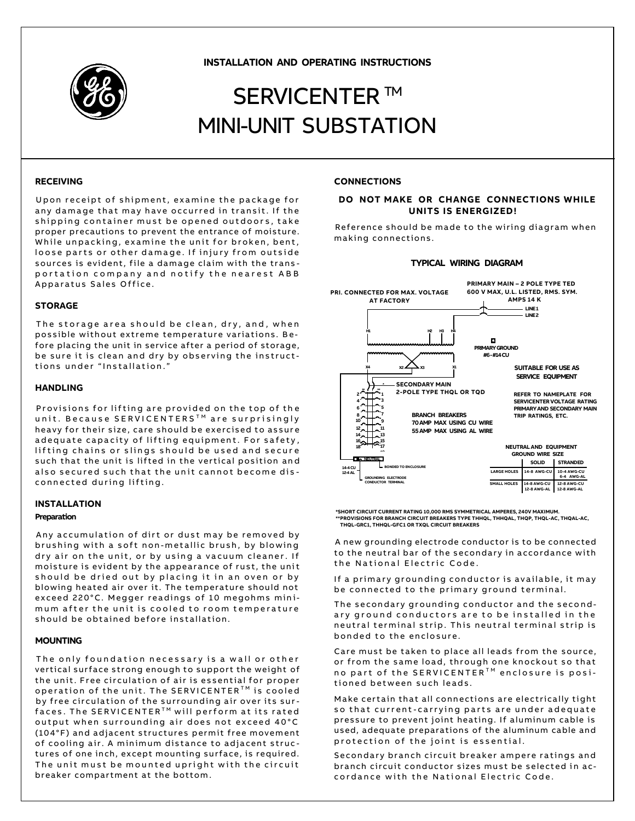

**INSTALLATION AND OPERATING INSTRUCTIONS**

# SERVICENTER ™ MINI-UNIT SUBSTATION

## **RECEIVING**

Upon receipt of shipment, examine the package for any damage that may have occurred in transit. If the shipping container must be opened outdoors, take proper precautions to prevent the entrance of moisture. While unpacking, examine the unit for broken, bent, loose parts or other damage. If injury from outside sources is evident, file a damage claim with the transportation company and notify the nearest ABB Apparatus Sales Office.

## **STORAGE**

The storage area should be clean, dry, and, when possible without extreme temperature variations. Before placing the unit in service after a period of storage, be sure it is clean and dry by observing the instructtions under "Installation.'

## **HANDLING**

Provisions for lifting are provided on the top of the unit. Because SERVICENTERS<sup>™</sup> are surprisingly heavy for their size, care should be exercised to assure a de quate capacity of lifting equipment. For safety, lifting chains or slings should be used and secure such that the unit is lifted in the vertical position and also secured such that the unit cannot become disconnected during lifting.

## **INSTALLATION**

#### **Preparation**

Any accumulation of dirt or dust may be removed by brushing with a soft non-metallic brush, by blowing dry air on the unit, or by using a vacuum cleaner. If moisture is evident by the appearance of rust, the unit should be dried out by placing it in an oven or by blowing heated air over it. The temperature should not exceed 220°C. Megger readings of 10 megohms minimum after the unit is cooled to room temperature should be obtained before installation.

## **MOUNTING**

The only foundation necessary is a wall or other vertical surface strong enough to support the weight of the unit. Free circulation of air is essential for proper operation of the unit. The SERVICENTER™ is cooled by free circulation of the surrounding air over its sur $faces.$  The SERVICENTER<sup>TM</sup> will perform at its rated output when surrounding air does not exceed 40°C (104°F) and adjacent structures permit free movement of cooling air. A minimum distance to adjacent structures of one inch, except mounting surface, is required. The unit must be mounted upright with the circuit breaker compartment at the bottom .

## **CONNECTIONS**

# **DO NOT MAKE OR CHANGE CONNECTIONS WHILE UNITS IS ENERGIZED!**

Reference should be made to the wiring diagram when making connections.

#### **TYPICAL WIRING DIAGRAM**



**\*SHORT CIRCUIT CURRENT RATING 10,000 RMS SYMMETRICAL AMPERES, 240V MAXIMUM. \*\*PROVISIONS FOR BRANCH CIRCUIT BREAKERS TYPE THHQL, THHQAL, THQP, THQL-AC, THQAL-AC, THQL-GRC1, THHQL-GFC1 OR TXQL CIRCUIT BREAKERS**

A new grounding electrode conductor is to be connected to the neutral bar of the secondary in accordance with the National Electric Code.

If a primary grounding conductor is available, it may be connected to the primary ground terminal.

The secondary grounding conductor and the secondary ground conductors are to be installed in the neutral terminal strip. This neutral terminal strip is bonded to the enclosure.

Care must be taken to place all leads from the source, or from the same load, through one knockout so that no part of the SERVICENTER<sup>TM</sup> enclosure is positioned between such leads.

Make certain that all connections are electrically tight so that current-carrying parts are under adequate pressure to prevent joint heating. If aluminum cable is used, adequate preparations of the aluminum cable and protection of the joint is essential.

Secondary branch circuit breaker ampere ratings and branch circuit conductor sizes must be selected in accordance with the National Electric Code.